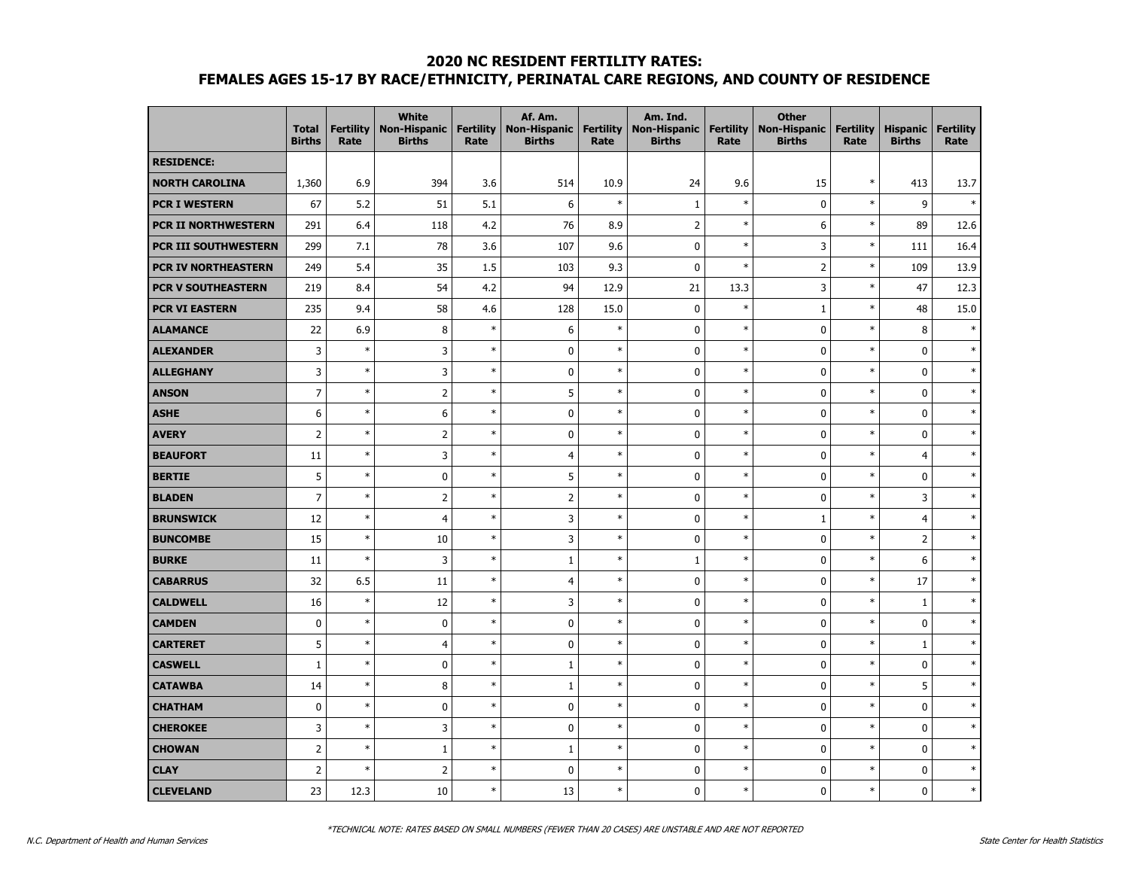|                             | <b>Total</b><br><b>Births</b> | <b>Fertility</b><br>Rate | <b>White</b><br><b>Non-Hispanic</b><br><b>Births</b> | <b>Fertility</b><br>Rate | Af. Am.<br><b>Non-Hispanic</b><br><b>Births</b> | <b>Fertility</b><br>Rate | Am. Ind.<br><b>Non-Hispanic</b><br><b>Births</b> | <b>Fertility</b><br>Rate | <b>Other</b><br><b>Non-Hispanic</b><br><b>Births</b> | <b>Fertility</b><br>Rate | <b>Hispanic</b><br><b>Births</b> | <b>Fertility</b><br>Rate |
|-----------------------------|-------------------------------|--------------------------|------------------------------------------------------|--------------------------|-------------------------------------------------|--------------------------|--------------------------------------------------|--------------------------|------------------------------------------------------|--------------------------|----------------------------------|--------------------------|
| <b>RESIDENCE:</b>           |                               |                          |                                                      |                          |                                                 |                          |                                                  |                          |                                                      |                          |                                  |                          |
| <b>NORTH CAROLINA</b>       | 1,360                         | 6.9                      | 394                                                  | 3.6                      | 514                                             | 10.9                     | 24                                               | 9.6                      | 15                                                   | $\ast$                   | 413                              | 13.7                     |
| <b>PCR I WESTERN</b>        | 67                            | 5.2                      | 51                                                   | 5.1                      | 6                                               | $\ast$                   | $\mathbf{1}$                                     | $\ast$                   | $\mathbf 0$                                          | $\ast$                   | 9                                | $\ast$                   |
| <b>PCR II NORTHWESTERN</b>  | 291                           | 6.4                      | 118                                                  | 4.2                      | 76                                              | 8.9                      | 2                                                | $\ast$                   | 6                                                    | $\ast$                   | 89                               | 12.6                     |
| <b>PCR III SOUTHWESTERN</b> | 299                           | 7.1                      | 78                                                   | 3.6                      | 107                                             | 9.6                      | $\mathbf 0$                                      | $\ast$                   | 3                                                    | $\ast$                   | 111                              | 16.4                     |
| PCR IV NORTHEASTERN         | 249                           | 5.4                      | 35                                                   | 1.5                      | 103                                             | 9.3                      | $\mathbf 0$                                      | $\ast$                   | $\overline{2}$                                       | $\ast$                   | 109                              | 13.9                     |
| <b>PCR V SOUTHEASTERN</b>   | 219                           | 8.4                      | 54                                                   | 4.2                      | 94                                              | 12.9                     | 21                                               | 13.3                     | 3                                                    | $\ast$                   | 47                               | 12.3                     |
| <b>PCR VI EASTERN</b>       | 235                           | 9.4                      | 58                                                   | 4.6                      | 128                                             | 15.0                     | $\pmb{0}$                                        | $\ast$                   | $\,1\,$                                              | $\ast$                   | 48                               | 15.0                     |
| <b>ALAMANCE</b>             | 22                            | 6.9                      | 8                                                    | $\ast$                   | 6                                               | $\ast$                   | $\pmb{0}$                                        | $\ast$                   | $\mathbf 0$                                          | $\ast$                   | 8                                | $\ast$                   |
| <b>ALEXANDER</b>            | 3                             | $\ast$                   | $\mathsf 3$                                          | $\ast$                   | $\pmb{0}$                                       | $\ast$                   | $\mathbf 0$                                      | $\ast$                   | $\pmb{0}$                                            | $\ast$                   | $\mathbf 0$                      | $\ast$                   |
| <b>ALLEGHANY</b>            | 3                             | $\ast$                   | 3                                                    | $\ast$                   | 0                                               | $\ast$                   | $\mathbf 0$                                      | $\ast$                   | $\mathbf 0$                                          | $\ast$                   | $\mathbf 0$                      | $\ast$                   |
| <b>ANSON</b>                | $\overline{7}$                | $\ast$                   | $\overline{2}$                                       | $\ast$                   | 5                                               | $\ast$                   | $\mathbf 0$                                      | $\ast$                   | $\mathbf 0$                                          | $\ast$                   | 0                                | $\ast$                   |
| <b>ASHE</b>                 | 6                             | $\ast$                   | 6                                                    | $\ast$                   | 0                                               | $\ast$                   | $\mathbf 0$                                      | $\ast$                   | $\mathbf 0$                                          | $\ast$                   | $\mathbf 0$                      | $\ast$                   |
| <b>AVERY</b>                | $\overline{2}$                | $\ast$                   | $\overline{2}$                                       | $\ast$                   | $\mathbf 0$                                     | $\ast$                   | $\mathbf 0$                                      | $\ast$                   | $\mathbf 0$                                          | $\ast$                   | 0                                | $\ast$                   |
| <b>BEAUFORT</b>             | 11                            | $\ast$                   | 3                                                    | $\ast$                   | 4                                               | $\ast$                   | $\pmb{0}$                                        | $\ast$                   | $\pmb{0}$                                            | $\ast$                   | $\overline{4}$                   | $\ast$                   |
| <b>BERTIE</b>               | 5                             | $\ast$                   | $\pmb{0}$                                            | $\ast$                   | 5                                               | $\ast$                   | $\pmb{0}$                                        | $\ast$                   | $\pmb{0}$                                            | $\ast$                   | 0                                | $\ast$                   |
| <b>BLADEN</b>               | $\overline{7}$                | $\ast$                   | $\overline{2}$                                       | $\ast$                   | $\mathbf 2$                                     | $\ast$                   | $\mathbf 0$                                      | $\ast$                   | $\pmb{0}$                                            | $\ast$                   | 3                                | $\ast$                   |
| <b>BRUNSWICK</b>            | 12                            | $\ast$                   | $\overline{4}$                                       | $\ast$                   | 3                                               | $\ast$                   | $\mathbf 0$                                      | $\ast$                   | $\mathbf{1}$                                         | $\ast$                   | $\overline{4}$                   | $\ast$                   |
| <b>BUNCOMBE</b>             | 15                            | $\ast$                   | $10\,$                                               | $\ast$                   | 3                                               | $\ast$                   | $\mathbf 0$                                      | $\ast$                   | $\mathbf 0$                                          | $\ast$                   | $\overline{2}$                   |                          |
| <b>BURKE</b>                | 11                            | $\ast$                   | 3                                                    | $\ast$                   | $\mathbf 1$                                     | $\ast$                   | $\mathbf{1}$                                     | $\ast$                   | $\mathbf 0$                                          | $\ast$                   | 6                                | $\ast$                   |
| <b>CABARRUS</b>             | 32                            | 6.5                      | 11                                                   | $\ast$                   | 4                                               | $\ast$                   | $\pmb{0}$                                        | $\ast$                   | $\pmb{0}$                                            | $\ast$                   | 17                               | $\ast$                   |
| <b>CALDWELL</b>             | 16                            | $\ast$                   | 12                                                   | $\ast$                   | 3                                               | $\ast$                   | $\mathbf 0$                                      | $\ast$                   | $\pmb{0}$                                            | $\ast$                   | $\,1\,$                          |                          |
| <b>CAMDEN</b>               | $\pmb{0}$                     | $\ast$                   | $\pmb{0}$                                            | $\ast$                   | $\pmb{0}$                                       | $\ast$                   | $\pmb{0}$                                        | $\ast$                   | $\pmb{0}$                                            | $\ast$                   | $\pmb{0}$                        |                          |
| <b>CARTERET</b>             | 5                             | $\ast$                   | $\overline{4}$                                       | $\ast$                   | 0                                               | $\ast$                   | $\mathbf 0$                                      | $\ast$                   | $\mathbf 0$                                          | $\ast$                   | $\mathbf{1}$                     | $\ast$                   |
| <b>CASWELL</b>              | $\mathbf{1}$                  | $\ast$                   | $\pmb{0}$                                            | $\ast$                   | $1\,$                                           | $\ast$                   | $\mathbf 0$                                      | $\ast$                   | $\mathbf 0$                                          | $\ast$                   | $\pmb{0}$                        | $\ast$                   |
| <b>CATAWBA</b>              | 14                            | $\ast$                   | 8                                                    | $\ast$                   | $\mathbf 1$                                     | $\ast$                   | $\mathbf 0$                                      | $\ast$                   | 0                                                    | $\ast$                   | 5                                | $\ast$                   |
| <b>CHATHAM</b>              | $\mathbf 0$                   | $\ast$                   | $\pmb{0}$                                            | $\ast$                   | 0                                               | $\ast$                   | $\mathbf 0$                                      | $\ast$                   | $\pmb{0}$                                            | $\ast$                   | 0                                | $\ast$                   |
| <b>CHEROKEE</b>             | 3                             | $\ast$                   | 3                                                    | $\ast$                   | 0                                               | $\ast$                   | $\pmb{0}$                                        | $\ast$                   | $\pmb{0}$                                            | $\ast$                   | 0                                | $\ast$                   |
| <b>CHOWAN</b>               | $\overline{2}$                | $\ast$                   | $1\,$                                                | $\ast$                   | $\mathbf 1$                                     | $\ast$                   | $\pmb{0}$                                        | $\ast$                   | $\mathbf 0$                                          | $\ast$                   | $\pmb{0}$                        | $\ast$                   |
| <b>CLAY</b>                 | $\overline{2}$                | $\ast$                   | $\overline{2}$                                       | $\ast$                   | 0                                               | $\ast$                   | 0                                                | $\ast$                   | 0                                                    | $\ast$                   | 0                                | $\ast$                   |
| <b>CLEVELAND</b>            | 23                            | 12.3                     | 10                                                   | $\ast$                   | 13                                              | $\ast$                   | $\Omega$                                         | $\ast$                   | $\mathbf{0}$                                         | $\ast$                   | $\mathbf{0}$                     | $\ast$                   |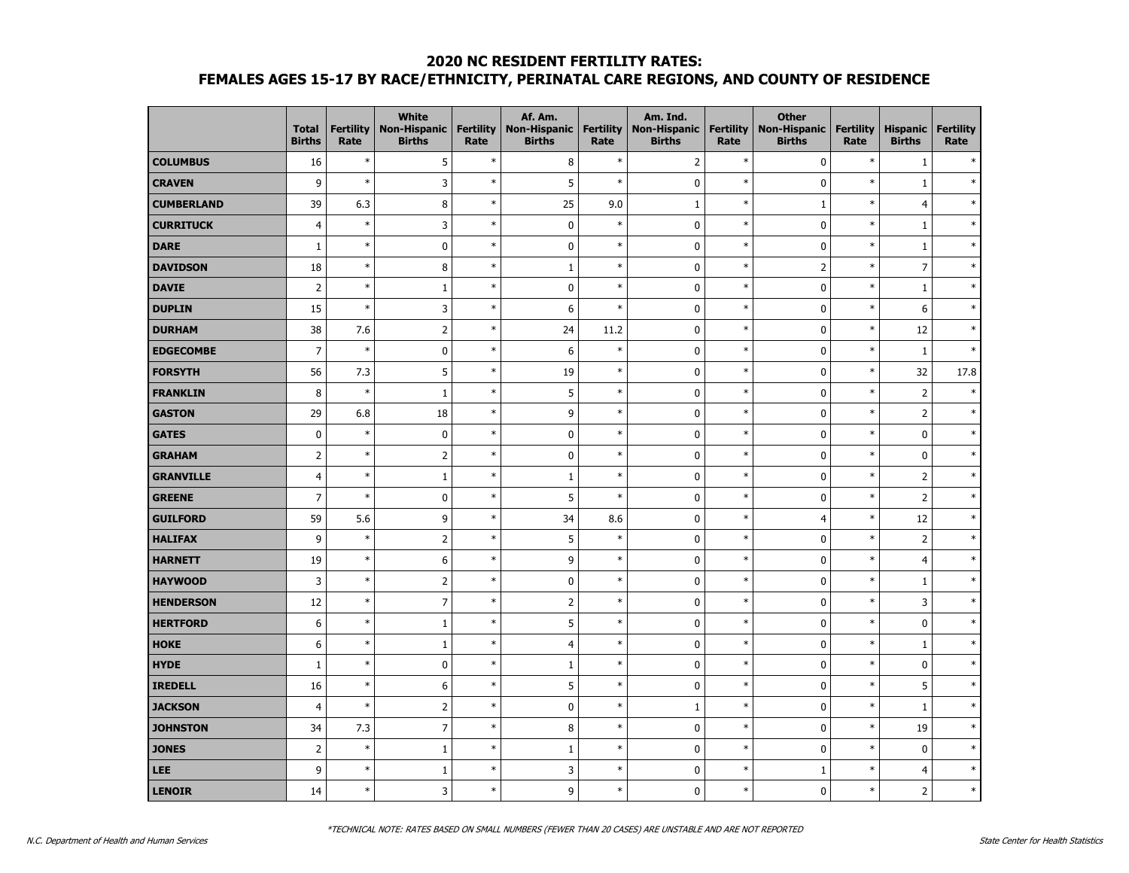|                   | <b>Total</b><br><b>Births</b> | <b>Fertility</b><br>Rate | White<br><b>Non-Hispanic</b><br><b>Births</b> | <b>Fertility</b><br>Rate | Af. Am.<br>Non-Hispanic   Fertility<br><b>Births</b> | Rate   | Am. Ind.<br><b>Non-Hispanic</b><br><b>Births</b> | <b>Fertility</b><br>Rate | <b>Other</b><br><b>Non-Hispanic</b><br><b>Births</b> | <b>Fertility</b><br>Rate | <b>Hispanic</b><br><b>Births</b> | <b>Fertility</b><br>Rate |
|-------------------|-------------------------------|--------------------------|-----------------------------------------------|--------------------------|------------------------------------------------------|--------|--------------------------------------------------|--------------------------|------------------------------------------------------|--------------------------|----------------------------------|--------------------------|
| <b>COLUMBUS</b>   | 16                            | $\ast$                   | 5                                             | $\ast$                   | $\bf 8$                                              | $\ast$ | $\overline{2}$                                   | $\ast$                   | $\pmb{0}$                                            | $\ast$                   | $\mathbf{1}$                     |                          |
| <b>CRAVEN</b>     | 9                             | $\ast$                   | 3                                             | $\ast$                   | 5                                                    | $\ast$ | $\mathbf 0$                                      | $\ast$                   | $\pmb{0}$                                            | $\ast$                   | $\mathbf{1}$                     |                          |
| <b>CUMBERLAND</b> | 39                            | 6.3                      | $\, 8$                                        | $\ast$                   | 25                                                   | 9.0    | $\mathbf{1}$                                     | $\ast$                   | $\mathbf{1}$                                         | $\ast$                   | $\overline{4}$                   |                          |
| <b>CURRITUCK</b>  | 4                             | $\ast$                   | $\overline{3}$                                | $\ast$                   | 0                                                    | $\ast$ | $\mathbf 0$                                      | $\ast$                   | $\pmb{0}$                                            | $\ast$                   | $\mathbf{1}$                     |                          |
| <b>DARE</b>       | $\mathbf{1}$                  | $\ast$                   | $\pmb{0}$                                     | $\ast$                   | $\pmb{0}$                                            | $\ast$ | $\mathbf 0$                                      | $\ast$                   | $\mathbf 0$                                          | $\ast$                   | $\mathbf{1}$                     |                          |
| <b>DAVIDSON</b>   | 18                            | $\ast$                   | 8                                             | $\ast$                   | $\mathbf{1}$                                         | $\ast$ | $\mathbf 0$                                      | $\ast$                   | $\overline{2}$                                       | $\ast$                   | $\overline{7}$                   |                          |
| <b>DAVIE</b>      | $\overline{2}$                | $\ast$                   | $\mathbf{1}$                                  | $\ast$                   | $\mathbf 0$                                          | $\ast$ | $\mathbf 0$                                      | $\ast$                   | $\mathbf 0$                                          | $\ast$                   | $\mathbf{1}$                     |                          |
| <b>DUPLIN</b>     | 15                            | $\ast$                   | 3                                             | $\ast$                   | 6                                                    | $\ast$ | $\mathbf 0$                                      | $\ast$                   | $\pmb{0}$                                            | $\ast$                   | 6                                |                          |
| <b>DURHAM</b>     | 38                            | 7.6                      | $\overline{2}$                                | $\ast$                   | 24                                                   | 11.2   | $\mathbf 0$                                      | $\ast$                   | $\pmb{0}$                                            | $\ast$                   | 12                               | $\ast$                   |
| <b>EDGECOMBE</b>  | $\overline{7}$                | $\ast$                   | $\pmb{0}$                                     | $\ast$                   | 6                                                    | $\ast$ | $\mathbf 0$                                      | $\ast$                   | $\pmb{0}$                                            | $\ast$                   | $\mathbf{1}$                     | $\ast$                   |
| <b>FORSYTH</b>    | 56                            | 7.3                      | 5                                             | $\ast$                   | 19                                                   | $\ast$ | $\mathbf 0$                                      | $\ast$                   | $\mathbf 0$                                          | $\ast$                   | 32                               | 17.8                     |
| <b>FRANKLIN</b>   | 8                             | $\ast$                   | $\mathbf{1}$                                  | $\ast$                   | 5                                                    | $\ast$ | $\mathbf 0$                                      | $\ast$                   | $\mathbf 0$                                          | $\ast$                   | $\overline{2}$                   |                          |
| <b>GASTON</b>     | 29                            | 6.8                      | 18                                            | $\ast$                   | 9                                                    | $\ast$ | $\mathbf 0$                                      | $\ast$                   | $\mathbf 0$                                          | $\ast$                   | $\overline{2}$                   |                          |
| <b>GATES</b>      | $\mathbf 0$                   | $\ast$                   | $\mathbf 0$                                   | $\ast$                   | $\mathbf 0$                                          | $\ast$ | $\mathbf 0$                                      | $\ast$                   | $\mathbf 0$                                          | $\ast$                   | $\mathbf 0$                      |                          |
| <b>GRAHAM</b>     | $\mathbf 2$                   | $\ast$                   | $\overline{2}$                                | $\ast$                   | $\pmb{0}$                                            | $\ast$ | $\mathbf 0$                                      | $\ast$                   | $\pmb{0}$                                            | $\ast$                   | $\pmb{0}$                        |                          |
| <b>GRANVILLE</b>  | $\overline{4}$                | $\ast$                   | $\mathbf{1}$                                  | $\ast$                   | $\mathbf 1$                                          | $\ast$ | $\mathbf 0$                                      | $\ast$                   | $\pmb{0}$                                            | $\ast$                   | $\mathsf{2}$                     |                          |
| <b>GREENE</b>     | $\overline{7}$                | $\ast$                   | $\pmb{0}$                                     | $\ast$                   | 5                                                    | $\ast$ | $\mathbf 0$                                      | $\ast$                   | $\pmb{0}$                                            | $\ast$                   | $\overline{2}$                   |                          |
| <b>GUILFORD</b>   | 59                            | 5.6                      | 9                                             | $\ast$                   | 34                                                   | 8.6    | $\mathbf 0$                                      | $\ast$                   | $\overline{4}$                                       | $\ast$                   | 12                               |                          |
| <b>HALIFAX</b>    | 9                             | $\ast$                   | $\overline{2}$                                | $\ast$                   | 5                                                    | $\ast$ | $\mathbf 0$                                      | $\ast$                   | $\mathbf 0$                                          | $\ast$                   | $\overline{2}$                   |                          |
| <b>HARNETT</b>    | 19                            | $\ast$                   | 6                                             | $\ast$                   | 9                                                    | $\ast$ | $\mathbf 0$                                      | $\ast$                   | $\mathbf 0$                                          | $\ast$                   | $\overline{4}$                   |                          |
| <b>HAYWOOD</b>    | $\mathsf 3$                   | $\ast$                   | $\overline{2}$                                | $\ast$                   | $\pmb{0}$                                            | $\ast$ | $\mathbf 0$                                      | $\ast$                   | $\pmb{0}$                                            | $\ast$                   | $\,1\,$                          |                          |
| <b>HENDERSON</b>  | 12                            | $\ast$                   | $\boldsymbol{7}$                              | $\ast$                   | $\mathsf{2}$                                         | $\ast$ | $\mathbf 0$                                      | $\ast$                   | $\pmb{0}$                                            | $\ast$                   | $\mathsf 3$                      |                          |
| <b>HERTFORD</b>   | 6                             | $\ast$                   | $\,1\,$                                       | $\ast$                   | 5                                                    | $\ast$ | $\mathbf 0$                                      | $\ast$                   | $\pmb{0}$                                            | $\ast$                   | $\pmb{0}$                        |                          |
| <b>HOKE</b>       | 6                             | $\ast$                   | $\mathbf{1}$                                  | $\ast$                   | $\overline{4}$                                       | $\ast$ | $\mathbf 0$                                      | $\ast$                   | $\mathbf 0$                                          | $\ast$                   | $\mathbf{1}$                     |                          |
| <b>HYDE</b>       | $\mathbf{1}$                  | $\ast$                   | $\pmb{0}$                                     | $\ast$                   | $\mathbf 1$                                          | $\ast$ | $\mathbf 0$                                      | $\ast$                   | $\mathbf 0$                                          | $\ast$                   | 0                                | ×,                       |
| <b>IREDELL</b>    | 16                            | $\ast$                   | 6                                             | $\ast$                   | 5                                                    | $\ast$ | $\mathbf 0$                                      | $\ast$                   | $\mathbf 0$                                          | $\ast$                   | 5                                |                          |
| <b>JACKSON</b>    | $\overline{4}$                | $\ast$                   | $\mathbf 2$                                   | $\ast$                   | $\pmb{0}$                                            | $\ast$ | $\mathbf{1}$                                     | $\ast$                   | $\pmb{0}$                                            | $\ast$                   | $\,1\,$                          |                          |
| <b>JOHNSTON</b>   | 34                            | 7.3                      | $\boldsymbol{7}$                              | $\ast$                   | $\bf 8$                                              | $\ast$ | $\mathbf 0$                                      | $\ast$                   | $\pmb{0}$                                            | $\ast$                   | 19                               |                          |
| <b>JONES</b>      | $\mathbf 2$                   | $\ast$                   | $\mathbf{1}$                                  | $\ast$                   | $\mathbf 1$                                          | $\ast$ | $\mathbf 0$                                      | $\ast$                   | $\pmb{0}$                                            | $\ast$                   | $\pmb{0}$                        |                          |
| <b>LEE</b>        | 9                             | $\ast$                   | $\mathbf{1}$                                  | $\ast$                   | 3                                                    | $\ast$ | $\mathbf 0$                                      | $\ast$                   | $\mathbf{1}$                                         | $\ast$                   | 4                                |                          |
| <b>LENOIR</b>     | 14                            | $\ast$                   | 3                                             | $\ast$                   | 9                                                    | $\ast$ | $\mathbf{0}$                                     | $\ast$                   | $\mathbf{0}$                                         | $\ast$                   | $\overline{2}$                   | ź.                       |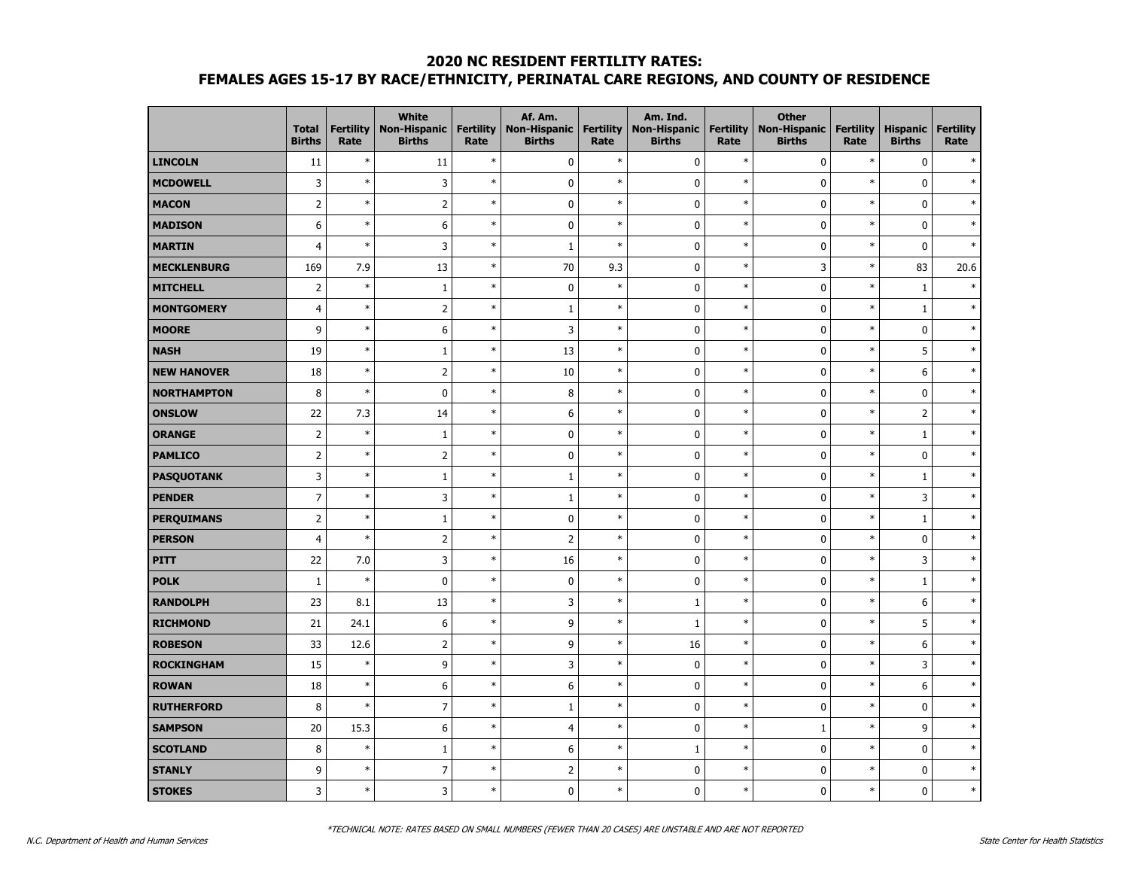|                    | <b>Total</b><br><b>Births</b> | <b>Fertility</b><br>Rate | <b>White</b><br><b>Non-Hispanic</b><br><b>Births</b> | <b>Fertility</b><br>Rate | Af. Am.<br>Non-Hispanic<br><b>Births</b> | Fertility<br>Rate | Am. Ind.<br><b>Non-Hispanic</b><br><b>Births</b> | <b>Fertility</b><br>Rate | <b>Other</b><br><b>Non-Hispanic</b><br><b>Births</b> | <b>Fertility</b><br>Rate | <b>Hispanic</b><br><b>Births</b> | <b>Fertility</b><br>Rate |
|--------------------|-------------------------------|--------------------------|------------------------------------------------------|--------------------------|------------------------------------------|-------------------|--------------------------------------------------|--------------------------|------------------------------------------------------|--------------------------|----------------------------------|--------------------------|
| <b>LINCOLN</b>     | 11                            | $\ast$                   | 11                                                   | $\ast$                   | $\mathbf 0$                              | $\ast$            | $\pmb{0}$                                        | $\ast$                   | $\pmb{0}$                                            | $\ast$                   | $\mathbf 0$                      |                          |
| <b>MCDOWELL</b>    | 3                             | $\ast$                   | 3                                                    | $\ast$                   | $\pmb{0}$                                | $\ast$            | $\mathbf 0$                                      | $\ast$                   | 0                                                    | $\ast$                   | 0                                |                          |
| <b>MACON</b>       | $\overline{2}$                | $\ast$                   | $\mathbf 2$                                          | $\ast$                   | $\pmb{0}$                                | $\ast$            | $\mathbf 0$                                      | $\ast$                   | $\pmb{0}$                                            | $\ast$                   | $\pmb{0}$                        |                          |
| <b>MADISON</b>     | 6                             | $\ast$                   | 6                                                    | $\ast$                   | $\pmb{0}$                                | $\ast$            | $\mathbf 0$                                      | $\ast$                   | $\pmb{0}$                                            | $\ast$                   | $\pmb{0}$                        | ×,                       |
| <b>MARTIN</b>      | $\overline{4}$                | $\ast$                   | 3                                                    | $\ast$                   | $\mathbf{1}$                             | $\ast$            | $\mathbf 0$                                      | $\ast$                   | $\mathbf 0$                                          | $\ast$                   | $\mathbf 0$                      | ź.                       |
| <b>MECKLENBURG</b> | 169                           | 7.9                      | 13                                                   | $\ast$                   | 70                                       | 9.3               | $\mathbf 0$                                      | $\ast$                   | 3                                                    | $\ast$                   | 83                               | 20.6                     |
| <b>MITCHELL</b>    | $\overline{2}$                | $\ast$                   | $\mathbf{1}$                                         | $\ast$                   | $\pmb{0}$                                | $\ast$            | $\mathbf 0$                                      | $\ast$                   | $\mathbf 0$                                          | $\ast$                   | $\mathbf{1}$                     |                          |
| <b>MONTGOMERY</b>  | 4                             | $\ast$                   | $\overline{2}$                                       | $\ast$                   | $1\,$                                    | $\ast$            | $\mathbf 0$                                      | $\ast$                   | $\pmb{0}$                                            | $\ast$                   | $\,1\,$                          |                          |
| <b>MOORE</b>       | 9                             | $\ast$                   | 6                                                    | $\ast$                   | 3                                        | $\ast$            | $\mathbf 0$                                      | $\ast$                   | $\pmb{0}$                                            | $\ast$                   | 0                                | ×                        |
| <b>NASH</b>        | 19                            | $\ast$                   | $\mathbf{1}$                                         | $\ast$                   | 13                                       | $\ast$            | $\mathbf 0$                                      | $\ast$                   | $\pmb{0}$                                            | $\ast$                   | 5                                |                          |
| <b>NEW HANOVER</b> | 18                            | $\ast$                   | $\overline{2}$                                       | $\ast$                   | 10                                       | $\ast$            | $\mathbf 0$                                      | $\ast$                   | $\mathbf 0$                                          | $\ast$                   | 6                                |                          |
| <b>NORTHAMPTON</b> | 8                             | $\ast$                   | $\mathbf 0$                                          | $\ast$                   | 8                                        | $\ast$            | $\mathbf 0$                                      | $\ast$                   | $\mathbf 0$                                          | $\ast$                   | 0                                |                          |
| <b>ONSLOW</b>      | 22                            | 7.3                      | 14                                                   | $\ast$                   | 6                                        | $\ast$            | $\mathbf 0$                                      | $\ast$                   | $\mathbf 0$                                          | $\ast$                   | $\overline{2}$                   |                          |
| <b>ORANGE</b>      | $\mathbf 2$                   | $\ast$                   | $\mathbf{1}$                                         | $\ast$                   | $\mathbf 0$                              | $\ast$            | $\mathbf 0$                                      | $\ast$                   | $\mathbf 0$                                          | $\ast$                   | $\,1\,$                          |                          |
| <b>PAMLICO</b>     | $\mathbf 2$                   | $\ast$                   | $\overline{2}$                                       | $\ast$                   | $\pmb{0}$                                | $\ast$            | $\mathbf 0$                                      | $\ast$                   | $\pmb{0}$                                            | $\ast$                   | $\pmb{0}$                        |                          |
| <b>PASQUOTANK</b>  | $\mathsf 3$                   | $\ast$                   | $\mathbf{1}$                                         | $\ast$                   | $\mathbf 1$                              | $\ast$            | $\mathbf 0$                                      | $\ast$                   | $\pmb{0}$                                            | $\ast$                   | $\,1\,$                          |                          |
| <b>PENDER</b>      | $\overline{7}$                | $\ast$                   | 3                                                    | $\ast$                   | $\mathbf 1$                              | $\ast$            | $\mathbf 0$                                      | $\ast$                   | $\pmb{0}$                                            | $\ast$                   | 3                                |                          |
| <b>PERQUIMANS</b>  | $\overline{2}$                | $\ast$                   | $\mathbf{1}$                                         | $\ast$                   | $\pmb{0}$                                | $\ast$            | $\mathbf 0$                                      | $\ast$                   | 0                                                    | $\ast$                   | $\mathbf{1}$                     |                          |
| <b>PERSON</b>      | $\overline{4}$                | $\ast$                   | $\overline{2}$                                       | $\ast$                   | $\overline{2}$                           | $\ast$            | $\mathbf 0$                                      | $\ast$                   | $\mathbf 0$                                          | $\ast$                   | 0                                |                          |
| <b>PITT</b>        | 22                            | 7.0                      | $\overline{3}$                                       | $\ast$                   | 16                                       | $\ast$            | $\mathbf 0$                                      | $\ast$                   | $\mathbf 0$                                          | $\ast$                   | 3                                |                          |
| <b>POLK</b>        | $\mathbf{1}$                  | $\ast$                   | $\pmb{0}$                                            | $\ast$                   | $\pmb{0}$                                | $\ast$            | $\mathbf 0$                                      | $\ast$                   | $\pmb{0}$                                            | $\ast$                   | $\,1\,$                          |                          |
| <b>RANDOLPH</b>    | 23                            | 8.1                      | 13                                                   | $\ast$                   | 3                                        | $\ast$            | $\mathbf{1}$                                     | $\ast$                   | $\pmb{0}$                                            | $\ast$                   | 6                                |                          |
| <b>RICHMOND</b>    | 21                            | 24.1                     | $\boldsymbol{6}$                                     | $\ast$                   | 9                                        | $\ast$            | $\mathbf{1}$                                     | $\ast$                   | $\pmb{0}$                                            | $\ast$                   | 5                                |                          |
| <b>ROBESON</b>     | 33                            | 12.6                     | $\overline{2}$                                       | $\ast$                   | 9                                        | $\ast$            | 16                                               | $\ast$                   | $\mathbf 0$                                          | $\ast$                   | 6                                |                          |
| <b>ROCKINGHAM</b>  | 15                            | $\ast$                   | 9                                                    | $\ast$                   | 3                                        | $\ast$            | $\mathbf 0$                                      | $\ast$                   | 0                                                    | $\ast$                   | 3                                | ×,                       |
| <b>ROWAN</b>       | 18                            | $\ast$                   | 6                                                    | $\ast$                   | 6                                        | $\ast$            | $\mathbf 0$                                      | $\ast$                   | $\mathbf 0$                                          | $\ast$                   | 6                                |                          |
| <b>RUTHERFORD</b>  | 8                             | $\ast$                   | $\overline{7}$                                       | $\ast$                   | $\mathbf 1$                              | $\ast$            | $\mathbf 0$                                      | $\ast$                   | $\pmb{0}$                                            | $\ast$                   | $\mathbf 0$                      |                          |
| <b>SAMPSON</b>     | 20                            | 15.3                     | $\boldsymbol{6}$                                     | $\ast$                   | $\overline{4}$                           | $\ast$            | $\mathbf 0$                                      | $\ast$                   | $\,1\,$                                              | $\ast$                   | 9                                |                          |
| <b>SCOTLAND</b>    | $\bf 8$                       | $\ast$                   | $\mathbf{1}$                                         | $\ast$                   | $\boldsymbol{6}$                         | $\ast$            | $\mathbf{1}$                                     | $\ast$                   | $\pmb{0}$                                            | $\ast$                   | $\pmb{0}$                        |                          |
| <b>STANLY</b>      | 9                             | $\ast$                   | $\overline{7}$                                       | $\ast$                   | $\overline{2}$                           | $\ast$            | $\mathbf 0$                                      | $\ast$                   | 0                                                    | $\ast$                   | 0                                |                          |
| <b>STOKES</b>      | $\overline{3}$                | $\ast$                   | 3                                                    | $\ast$                   | $\mathbf{0}$                             | $\ast$            | $\mathbf{0}$                                     | $\ast$                   | $\mathbf{0}$                                         | $\ast$                   | $\mathbf{0}$                     | $\ast$                   |